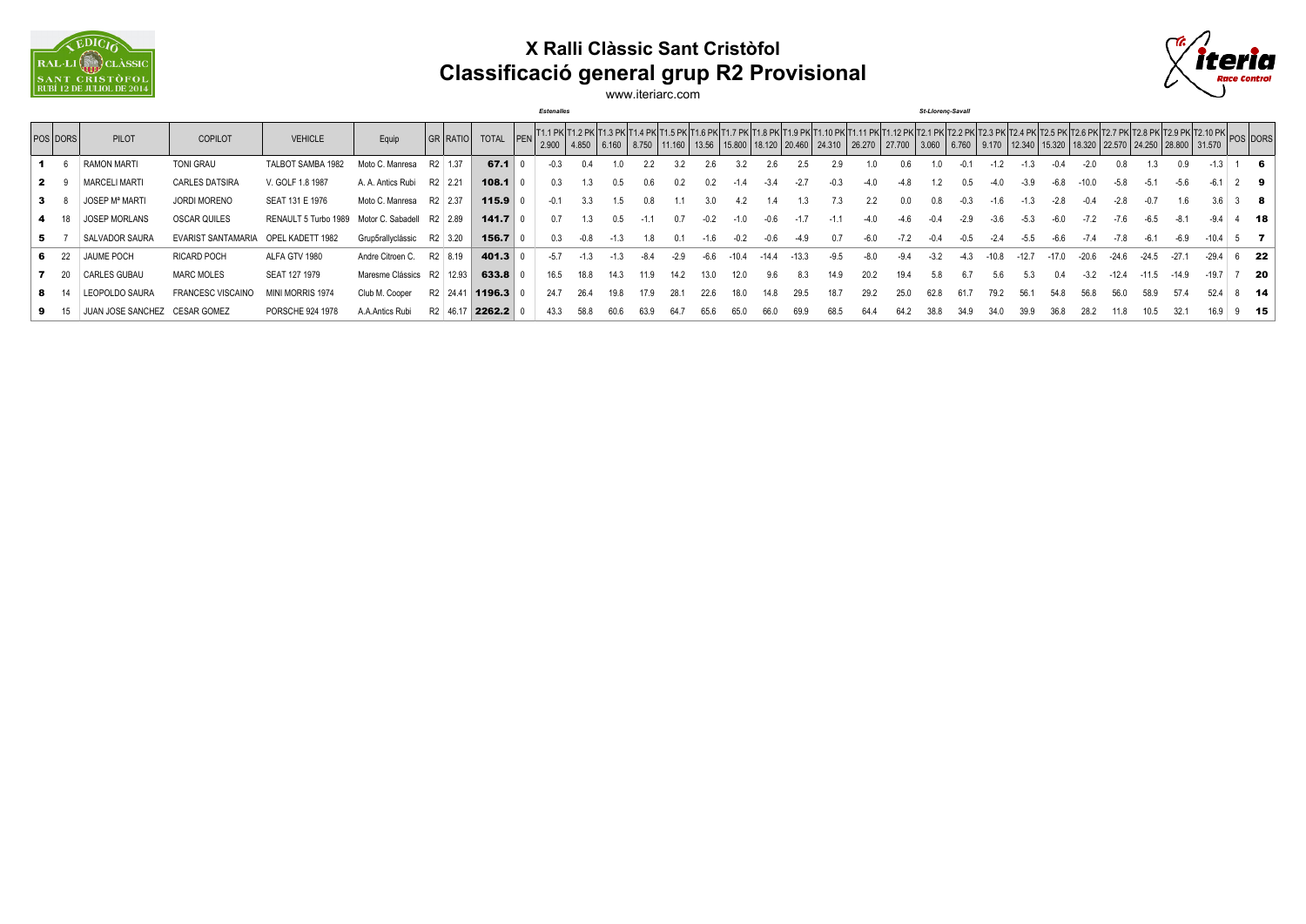

## **X Ralli Clàssic Sant Cristòfol Classificació general grup R2 Provisional**



www.iteriarc.com

*Estenalles St-Llorenç-Savall*

|   | <b>POS DORS</b> | PILOT                         | <b>COPILOT</b>                      | <b>VEHICLE</b>                                 | Equip                       | GR RATIO TOTAL PEN   |           |       |        |        |        |        |        |        |       |      |        |      |        |        |      |      |        |         |        |         |         |         | N 000   4.850   6.160   8.750   11.160   13.56   15.800   18.120   18.120   18.120   18.120   18.120   18.120  <br>N   2.900   4.850   6.160   8.750   11.160   13.56   15.800   18.120   20.460   24.310   26.270   27.700   3.0 |    |        |
|---|-----------------|-------------------------------|-------------------------------------|------------------------------------------------|-----------------------------|----------------------|-----------|-------|--------|--------|--------|--------|--------|--------|-------|------|--------|------|--------|--------|------|------|--------|---------|--------|---------|---------|---------|-----------------------------------------------------------------------------------------------------------------------------------------------------------------------------------------------------------------------------------|----|--------|
|   |                 | <b>RAMON MARTI</b>            | <b>TONI GRAU</b>                    | TALBOT SAMBA 1982                              | Moto C. Manresa             | R <sub>2</sub> 1.37  | 67.1      |       |        |        |        |        | 2.6    |        |       |      |        |      |        |        |      |      |        |         |        |         |         |         |                                                                                                                                                                                                                                   |    | - 6    |
|   |                 | <b>MARCELI MARTI</b>          | <b>CARLES DATSIRA</b>               | V. GOLF 1.8 1987                               | A. A. Antics Rubi R2 2.21   |                      | $108.1$ 0 |       |        | 0.5    |        | 0.2    | 0.2    |        | $-34$ |      | $-0.3$ |      | -4.8   |        | 0.5  |      | $-3.9$ | -6.8    |        |         |         |         |                                                                                                                                                                                                                                   | 29 |        |
|   | $3 \quad 8$     | <b>JOSEP Mª MARTI</b>         | <b>JORDI MORENO</b>                 | SEAT 131 E 1976                                | Moto C. Manresa R2 2.37     |                      | 115.9     |       |        |        |        |        |        |        |       |      |        |      |        |        |      |      |        |         |        |         |         |         |                                                                                                                                                                                                                                   |    | - 8    |
|   | $4 \t18$        | <b>JOSEP MORLANS</b>          | <b>OSCAR QUILES</b>                 | RENAULT 5 Turbo 1989 Motor C. Sabadell R2 2.89 |                             |                      | 141.7     |       |        | 0.5    | $-1.1$ | 0.7    | $-0.2$ | $-1.0$ |       |      |        |      |        |        |      |      |        |         |        |         |         |         |                                                                                                                                                                                                                                   |    | - 18   |
|   | 5               | SALVADOR SAURA                | EVARIST SANTAMARIA OPEL KADETT 1982 |                                                | Grup5rallvclássic           | R2 3.20              | $156.7$ 0 |       | $-0.8$ | $-1.3$ | 1.8    | 0 1    | $-1.6$ | $-0.2$ |       |      | 0 7    |      |        |        |      |      |        |         |        |         |         |         |                                                                                                                                                                                                                                   |    |        |
|   | 6 22            | <b>JAUME POCH</b>             | <b>RICARD POCH</b>                  | ALFA GTV 1980                                  | Andre Citroen C.            | R2 8.19              | 401.3     | $-57$ |        |        | $-8.4$ | $-2.9$ | -6.6   |        |       |      | $-9.5$ |      | $-9.4$ | $-3.2$ |      |      |        | $-17.0$ | -20.6  | $-24.6$ | $-24.5$ | $-27.1$ |                                                                                                                                                                                                                                   |    | $6$ 22 |
|   | 7 20            | <b>CARLES GUBAU</b>           | <b>MARC MOLES</b>                   | SEAT 127 1979                                  | Maresme Clássics R2   12.93 |                      | 633.8     | 16.5  | 18.8   | 14.3   | 11.9   | 14.2   | 13.0   | 12.0   | 9.6   | 8.3  | 14.9   | 20.2 | 19.4   | 5.8    |      | 5.6  |        | 0.4     | $-3.2$ | -12.4   | $-11.5$ | -14.9   | $-19.7$                                                                                                                                                                                                                           |    | - 20   |
| 8 |                 | LEOPOLDO SAURA                | <b>FRANCESC VISCAINO</b>            | MINI MORRIS 1974                               | Club M. Cooper              | R2 24.41 1196.3 0    |           | 24.7  | 26.4   | 19.8   |        | 28.1   | 22.6   | 18 O   |       | 29.5 | 18.7   | 29.2 | 25.0   | 62.8   | 61.7 | 79 2 | 56.1   | 54 8    |        | .56 O   | 58.9    | 574     |                                                                                                                                                                                                                                   |    | $8$ 14 |
|   | 9 15            | JUAN JOSE SANCHEZ CESAR GOMEZ |                                     | PORSCHE 924 1978                               | A.A.Antics Rubi             | R <sub>2</sub> 46.17 | 2262.2    |       |        | hU h   |        |        | 65.6   | 65 O   |       | 69.9 | 68.5   | 64.4 | 64.2   | 38 X   |      |      |        |         |        |         |         |         | 16.9                                                                                                                                                                                                                              |    | 9 15   |